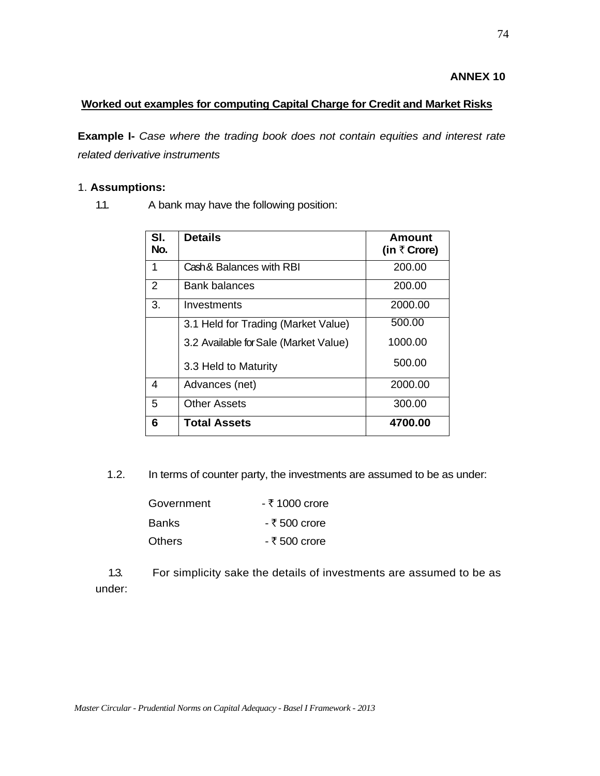## **ANNEX 10**

## **Worked out examples for computing Capital Charge for Credit and Market Risks**

**Example I-** *Case where the trading book does not contain equities and interest rate related derivative instruments* 

#### 1. **Assumptions:**

1.1. A bank may have the following position:

| SI.<br>No.     | <b>Details</b>                        | Amount<br>(in $\bar{\tau}$ Crore) |
|----------------|---------------------------------------|-----------------------------------|
| 1              | Cash & Balances with RBI              | 200.00                            |
| $\overline{2}$ | Bank balances                         | 200.00                            |
| 3.             | Investments                           | 2000.00                           |
|                | 3.1 Held for Trading (Market Value)   | 500.00                            |
|                | 3.2 Available for Sale (Market Value) | 1000.00                           |
|                | 3.3 Held to Maturity                  | 500.00                            |
| 4              | Advances (net)                        | 2000.00                           |
| 5              | <b>Other Assets</b>                   | 300.00                            |
| 6              | <b>Total Assets</b>                   | 4700.00                           |

1.2. In terms of counter party, the investments are assumed to be as under:

| Government | - ₹ 1000 crore |
|------------|----------------|
| Banks      | - ₹ 500 crore  |
| Others     | - ₹ 500 crore  |

 1.3. For simplicity sake the details of investments are assumed to be as under: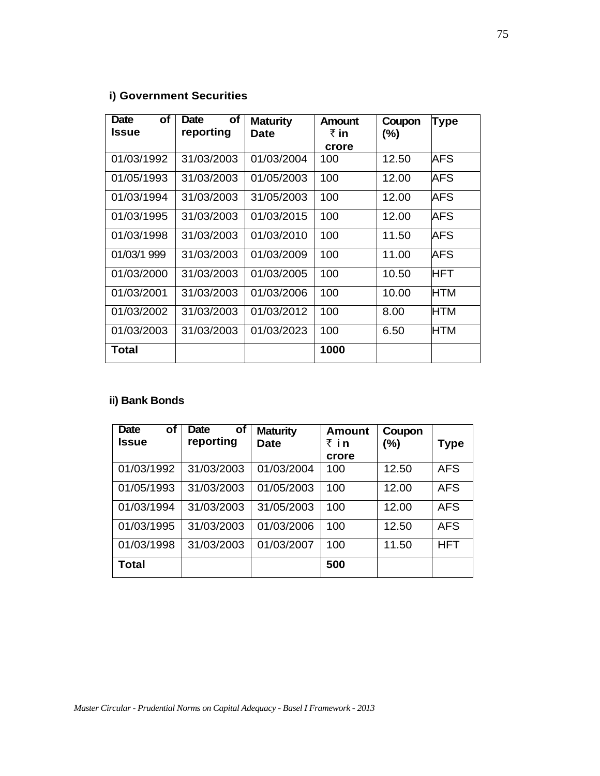# **i) Government Securities**

| <b>Date</b><br>οf | Οf<br>Date | <b>Maturity</b> | <b>Amount</b> | Coupon | <b>Type</b> |
|-------------------|------------|-----------------|---------------|--------|-------------|
| <b>Issue</b>      | reporting  | Date            | ₹ in          | $(\%)$ |             |
|                   |            |                 | crore         |        |             |
| 01/03/1992        | 31/03/2003 | 01/03/2004      | 100           | 12.50  | AFS         |
| 01/05/1993        | 31/03/2003 | 01/05/2003      | 100           | 12.00  | AFS         |
| 01/03/1994        | 31/03/2003 | 31/05/2003      | 100           | 12.00  | AFS         |
| 01/03/1995        | 31/03/2003 | 01/03/2015      | 100           | 12.00  | AFS         |
| 01/03/1998        | 31/03/2003 | 01/03/2010      | 100           | 11.50  | AFS         |
| 01/03/1 999       | 31/03/2003 | 01/03/2009      | 100           | 11.00  | AFS         |
| 01/03/2000        | 31/03/2003 | 01/03/2005      | 100           | 10.50  | HFT         |
| 01/03/2001        | 31/03/2003 | 01/03/2006      | 100           | 10.00  | HTM         |
| 01/03/2002        | 31/03/2003 | 01/03/2012      | 100           | 8.00   | <b>HTM</b>  |
| 01/03/2003        | 31/03/2003 | 01/03/2023      | 100           | 6.50   | HTM         |
| Total             |            |                 | 1000          |        |             |

# **ii) Bank Bonds**

| <b>Date</b><br>οf<br>Issue | Date<br>οf<br>reporting | <b>Maturity</b><br><b>Date</b> | <b>Amount</b><br>₹in | Coupon<br>(%) | Type       |
|----------------------------|-------------------------|--------------------------------|----------------------|---------------|------------|
|                            |                         |                                | crore                |               |            |
| 01/03/1992                 | 31/03/2003              | 01/03/2004                     | 100                  | 12.50         | <b>AFS</b> |
| 01/05/1993                 | 31/03/2003              | 01/05/2003                     | 100                  | 12.00         | <b>AFS</b> |
| 01/03/1994                 | 31/03/2003              | 31/05/2003                     | 100                  | 12.00         | <b>AFS</b> |
| 01/03/1995                 | 31/03/2003              | 01/03/2006                     | 100                  | 12.50         | <b>AFS</b> |
| 01/03/1998                 | 31/03/2003              | 01/03/2007                     | 100                  | 11.50         | <b>HFT</b> |
| <b>Total</b>               |                         |                                | 500                  |               |            |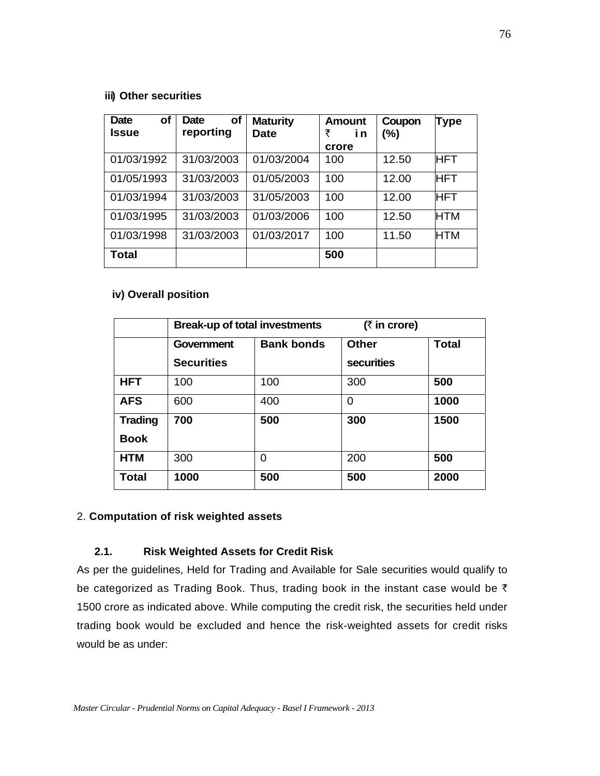#### **iii) Other securities**

| <b>Date</b><br>οf<br>Issue | οf<br>Date<br>reporting | <b>Maturity</b><br><b>Date</b> | <b>Amount</b><br>₹<br>i n<br>crore | Coupon<br>(%) | <b>Type</b> |
|----------------------------|-------------------------|--------------------------------|------------------------------------|---------------|-------------|
| 01/03/1992                 | 31/03/2003              | 01/03/2004                     | 100                                | 12.50         | <b>HFT</b>  |
| 01/05/1993                 | 31/03/2003              | 01/05/2003                     | 100                                | 12.00         | <b>HFT</b>  |
| 01/03/1994                 | 31/03/2003              | 31/05/2003                     | 100                                | 12.00         | <b>HFT</b>  |
| 01/03/1995                 | 31/03/2003              | 01/03/2006                     | 100                                | 12.50         | <b>HTM</b>  |
| 01/03/1998                 | 31/03/2003              | 01/03/2017                     | 100                                | 11.50         | <b>HTM</b>  |
| Total                      |                         |                                | 500                                |               |             |

## **iv) Overall position**

|                | <b>Break-up of total investments</b> |                   | $($ ₹ in crore)   |              |
|----------------|--------------------------------------|-------------------|-------------------|--------------|
|                | Government                           | <b>Bank bonds</b> | <b>Other</b>      | <b>Total</b> |
|                | <b>Securities</b>                    |                   | <b>securities</b> |              |
| <b>HFT</b>     | 100                                  | 100               | 300               | 500          |
| <b>AFS</b>     | 600                                  | 400               | 0                 | 1000         |
| <b>Trading</b> | 700                                  | 500               | 300               | 1500         |
| <b>Book</b>    |                                      |                   |                   |              |
| <b>HTM</b>     | 300                                  | 0                 | 200               | 500          |
| <b>Total</b>   | 1000                                 | 500               | 500               | 2000         |

# 2. **Computation of risk weighted assets**

# **2.1. Risk Weighted Assets for Credit Risk**

As per the guidelines, Held for Trading and Available for Sale securities would qualify to be categorized as Trading Book. Thus, trading book in the instant case would be  $\bar{\tau}$ 1500 crore as indicated above. While computing the credit risk, the securities held under trading book would be excluded and hence the risk-weighted assets for credit risks would be as under: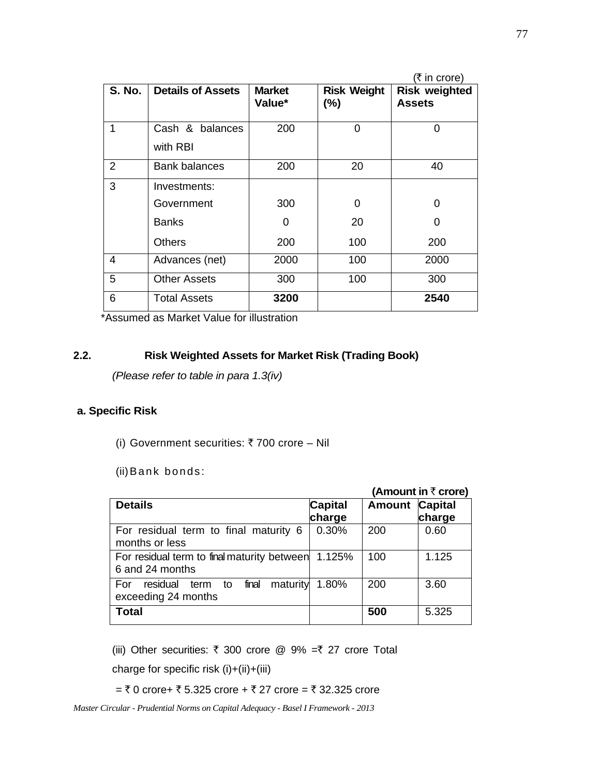|                |                          |                         |                              | (₹ in crore)                          |
|----------------|--------------------------|-------------------------|------------------------------|---------------------------------------|
| S. No.         | <b>Details of Assets</b> | <b>Market</b><br>Value* | <b>Risk Weight</b><br>$(\%)$ | <b>Risk weighted</b><br><b>Assets</b> |
| 1              | Cash & balances          | 200                     | $\Omega$                     | $\Omega$                              |
|                | with RBI                 |                         |                              |                                       |
| $\overline{2}$ | <b>Bank balances</b>     | 200                     | 20                           | 40                                    |
| 3              | Investments:             |                         |                              |                                       |
|                | Government               | 300                     | 0                            | 0                                     |
|                | <b>Banks</b>             | 0                       | 20                           | 0                                     |
|                | <b>Others</b>            | 200                     | 100                          | 200                                   |
| 4              | Advances (net)           | 2000                    | 100                          | 2000                                  |
| 5              | <b>Other Assets</b>      | 300                     | 100                          | 300                                   |
| 6              | <b>Total Assets</b>      | 3200                    |                              | 2540                                  |

\*Assumed as Market Value for illustration

#### **2.2. Risk Weighted Assets for Market Risk (Trading Book)**

*(Please refer to table in para 1.3(iv)* 

## **a. Specific Risk**

(i) Government securities: ₹700 crore – Nil

(ii) Bank bonds:

|                                                                           |                |                       | (Amount in $\bar{\tau}$ crore) |
|---------------------------------------------------------------------------|----------------|-----------------------|--------------------------------|
| <b>Details</b>                                                            | <b>Capital</b> | <b>Amount Capital</b> |                                |
|                                                                           | charge         |                       | charge                         |
| For residual term to final maturity 6<br>months or less                   | 0.30%          | 200                   | 0.60                           |
| For residual term to final maturity between<br>6 and 24 months            | 1.125%         | 100                   | 1.125                          |
| maturity<br>final<br>residual<br>to<br>For<br>term<br>exceeding 24 months | 1.80%          | 200                   | 3.60                           |
| <b>Total</b>                                                              |                | 500                   | 5.325                          |

(iii) Other securities:  $\bar{\tau}$  300 crore @ 9% =  $\bar{\tau}$  27 crore Total

charge for specific risk (i)+(ii)+(iii)

=  $\bar{x}$  0 crore+  $\bar{x}$  5.325 crore +  $\bar{x}$  27 crore =  $\bar{x}$  32.325 crore

*Master Circular - Prudential Norms on Capital Adequacy - Basel I Framework - 2013*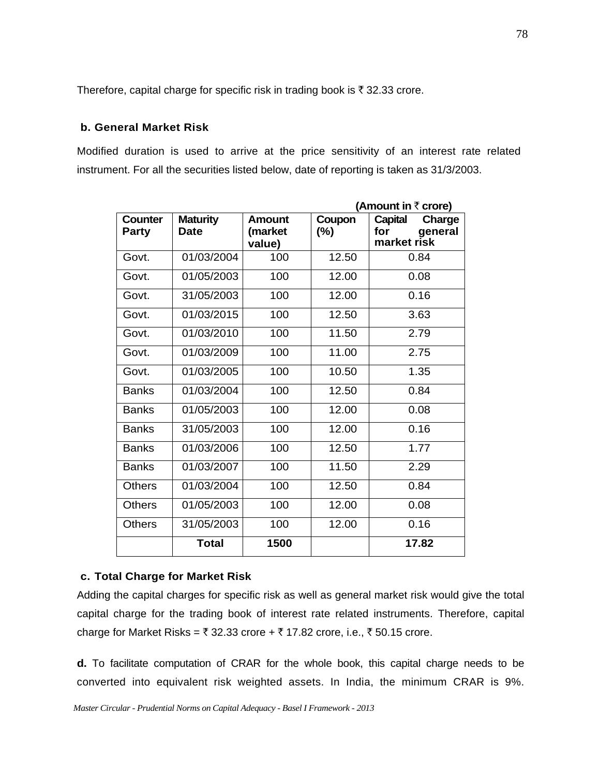Therefore, capital charge for specific risk in trading book is  $\bar{\tau}$  32.33 crore.

## **b. General Market Risk**

Modified duration is used to arrive at the price sensitivity of an interest rate related instrument. For all the securities listed below, date of reporting is taken as 31/3/2003.

|                                |                                |                                    |                  | (Amount in ₹ crore)                                       |
|--------------------------------|--------------------------------|------------------------------------|------------------|-----------------------------------------------------------|
| <b>Counter</b><br><b>Party</b> | <b>Maturity</b><br><b>Date</b> | <b>Amount</b><br>(market<br>value) | Coupon<br>$(\%)$ | <b>Capital</b><br>Charge<br>for<br>general<br>market risk |
| Govt.                          | 01/03/2004                     | 100                                | 12.50            | 0.84                                                      |
| Govt.                          | 01/05/2003                     | 100                                | 12.00            | 0.08                                                      |
| Govt.                          | 31/05/2003                     | 100                                | 12.00            | 0.16                                                      |
| Govt.                          | 01/03/2015                     | 100                                | 12.50            | 3.63                                                      |
| Govt.                          | 01/03/2010                     | 100                                | 11.50            | 2.79                                                      |
| Govt.                          | 01/03/2009                     | 100                                | 11.00            | 2.75                                                      |
| Govt.                          | 01/03/2005                     | 100                                | 10.50            | 1.35                                                      |
| <b>Banks</b>                   | 01/03/2004                     | 100                                | 12.50            | 0.84                                                      |
| <b>Banks</b>                   | 01/05/2003                     | 100                                | 12.00            | 0.08                                                      |
| <b>Banks</b>                   | 31/05/2003                     | 100                                | 12.00            | 0.16                                                      |
| <b>Banks</b>                   | 01/03/2006                     | 100                                | 12.50            | 1.77                                                      |
| <b>Banks</b>                   | 01/03/2007                     | 100                                | 11.50            | 2.29                                                      |
| <b>Others</b>                  | 01/03/2004                     | 100                                | 12.50            | 0.84                                                      |
| <b>Others</b>                  | 01/05/2003                     | 100                                | 12.00            | 0.08                                                      |
| <b>Others</b>                  | 31/05/2003                     | 100                                | 12.00            | 0.16                                                      |
|                                | <b>Total</b>                   | 1500                               |                  | 17.82                                                     |

#### **c. Total Charge for Market Risk**

Adding the capital charges for specific risk as well as general market risk would give the total capital charge for the trading book of interest rate related instruments. Therefore, capital charge for Market Risks =  $\bar{\tau}$  32.33 crore +  $\bar{\tau}$  17.82 crore, i.e.,  $\bar{\tau}$  50.15 crore.

**d.** To facilitate computation of CRAR for the whole book, this capital charge needs to be converted into equivalent risk weighted assets. In India, the minimum CRAR is 9%.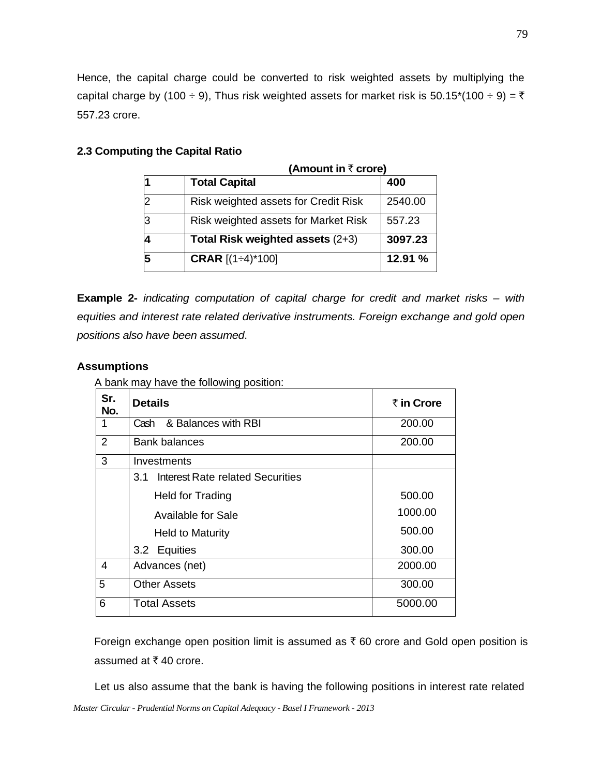Hence, the capital charge could be converted to risk weighted assets by multiplying the capital charge by (100 ÷ 9), Thus risk weighted assets for market risk is 50.15\*(100 ÷ 9) =  $\overline{\tau}$ 557.23 crore.

#### **2.3 Computing the Capital Ratio**

| (Amount in $\bar{\tau}$ crore) |                                      |         |
|--------------------------------|--------------------------------------|---------|
|                                | <b>Total Capital</b>                 | 400     |
|                                | Risk weighted assets for Credit Risk | 2540.00 |
|                                | Risk weighted assets for Market Risk | 557.23  |
|                                | Total Risk weighted assets (2+3)     | 3097.23 |
|                                | <b>CRAR</b> $[(1 \div 4)^* 100]$     | 12.91 % |

**Example 2-** *indicating computation of capital charge for credit and market risks – with equities and interest rate related derivative instruments. Foreign exchange and gold open positions also have been assumed*.

## **Assumptions**

A bank may have the following position:

| Sr.<br>No. | <b>Details</b>                          | ₹ in Crore |
|------------|-----------------------------------------|------------|
| 1          | & Balances with RBI<br>Cash             | 200.00     |
| 2          | <b>Bank balances</b>                    | 200.00     |
| 3          | Investments                             |            |
|            | Interest Rate related Securities<br>3.1 |            |
|            | Held for Trading                        | 500.00     |
|            | <b>Available for Sale</b>               | 1000.00    |
|            | <b>Held to Maturity</b>                 | 500.00     |
|            | 3.2 Equities                            | 300.00     |
| 4          | Advances (net)                          | 2000.00    |
| 5          | <b>Other Assets</b>                     | 300.00     |
| 6          | <b>Total Assets</b>                     | 5000.00    |

Foreign exchange open position limit is assumed as  $\bar{\tau}$  60 crore and Gold open position is assumed at  $\bar{x}$  40 crore.

Let us also assume that the bank is having the following positions in interest rate related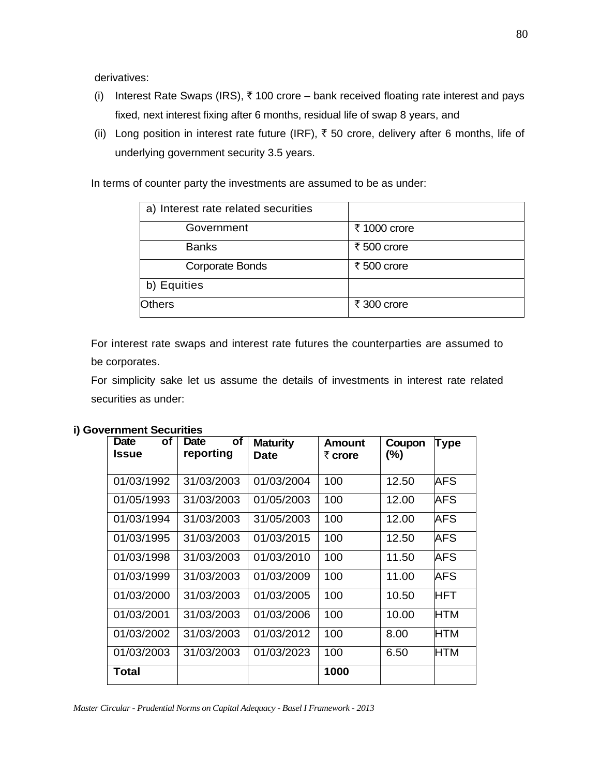derivatives:

- (i) Interest Rate Swaps (IRS),  $\bar{\tau}$  100 crore bank received floating rate interest and pays fixed, next interest fixing after 6 months, residual life of swap 8 years, and
- (ii) Long position in interest rate future (IRF),  $\bar{\tau}$  50 crore, delivery after 6 months, life of underlying government security 3.5 years.

In terms of counter party the investments are assumed to be as under:

| a) Interest rate related securities |              |
|-------------------------------------|--------------|
| Government                          | ₹ 1000 crore |
| <b>Banks</b>                        | ₹ 500 crore  |
| Corporate Bonds                     | ₹ 500 crore  |
| b) Equities                         |              |
| <b>Others</b>                       | ₹ 300 crore  |

For interest rate swaps and interest rate futures the counterparties are assumed to be corporates.

For simplicity sake let us assume the details of investments in interest rate related securities as under:

| <b>Date</b><br>οf<br>Issue | οf<br>Date<br>reporting | <b>Maturity</b><br>Date | <b>Amount</b><br>₹ crore | Coupon<br>(%) | Type       |
|----------------------------|-------------------------|-------------------------|--------------------------|---------------|------------|
| 01/03/1992                 | 31/03/2003              | 01/03/2004              | 100                      | 12.50         | AFS        |
| 01/05/1993                 | 31/03/2003              | 01/05/2003              | 100                      | 12.00         | AFS        |
| 01/03/1994                 | 31/03/2003              | 31/05/2003              | 100                      | 12.00         | AFS        |
| 01/03/1995                 | 31/03/2003              | 01/03/2015              | 100                      | 12.50         | AFS        |
| 01/03/1998                 | 31/03/2003              | 01/03/2010              | 100                      | 11.50         | AFS        |
| 01/03/1999                 | 31/03/2003              | 01/03/2009              | 100                      | 11.00         | AFS        |
| 01/03/2000                 | 31/03/2003              | 01/03/2005              | 100                      | 10.50         | <b>HFT</b> |
| 01/03/2001                 | 31/03/2003              | 01/03/2006              | 100                      | 10.00         | HTM        |
| 01/03/2002                 | 31/03/2003              | 01/03/2012              | 100                      | 8.00          | HTM        |
| 01/03/2003                 | 31/03/2003              | 01/03/2023              | 100                      | 6.50          | HTM        |
| Total                      |                         |                         | 1000                     |               |            |

#### **i) Government Securities**

*Master Circular - Prudential Norms on Capital Adequacy - Basel I Framework - 2013*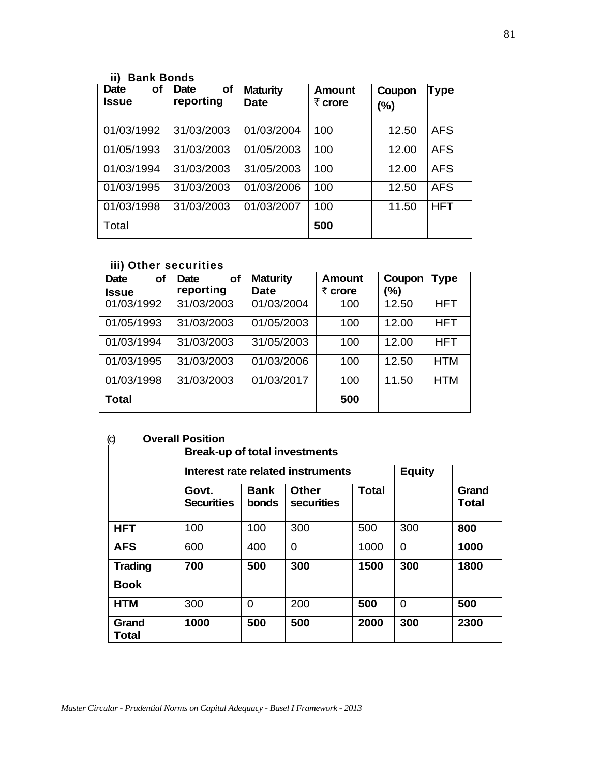# **ii) Bank Bonds**

| <b>Date</b><br><b>of</b><br><b>Issue</b> | <b>of</b><br>Date<br>reporting | <b>Maturity</b><br><b>Date</b> | Amount<br>$\bar{z}$ crore | Coupon<br>(%) | Type       |
|------------------------------------------|--------------------------------|--------------------------------|---------------------------|---------------|------------|
| 01/03/1992                               | 31/03/2003                     | 01/03/2004                     | 100                       | 12.50         | <b>AFS</b> |
| 01/05/1993                               | 31/03/2003                     | 01/05/2003                     | 100                       | 12.00         | <b>AFS</b> |
| 01/03/1994                               | 31/03/2003                     | 31/05/2003                     | 100                       | 12.00         | <b>AFS</b> |
| 01/03/1995                               | 31/03/2003                     | 01/03/2006                     | 100                       | 12.50         | <b>AFS</b> |
| 01/03/1998                               | 31/03/2003                     | 01/03/2007                     | 100                       | 11.50         | <b>HFT</b> |
| Total                                    |                                |                                | 500                       |               |            |

# **iii) Other securities**

| of<br><b>Date</b> | <b>of</b><br><b>Date</b> | <b>Maturity</b> | <b>Amount</b> | Coupon | Type       |
|-------------------|--------------------------|-----------------|---------------|--------|------------|
| <b>Issue</b>      | reporting                | <b>Date</b>     | ₹ crore       | (%)    |            |
| 01/03/1992        | 31/03/2003               | 01/03/2004      | 100           | 12.50  | <b>HFT</b> |
| 01/05/1993        | 31/03/2003               | 01/05/2003      | 100           | 12.00  | <b>HFT</b> |
| 01/03/1994        | 31/03/2003               | 31/05/2003      | 100           | 12.00  | <b>HFT</b> |
| 01/03/1995        | 31/03/2003               | 01/03/2006      | 100           | 12.50  | <b>HTM</b> |
| 01/03/1998        | 31/03/2003               | 01/03/2017      | 100           | 11.50  | <b>HTM</b> |
| Total             |                          |                 | 500           |        |            |

## (c) **Overall Position**

|                               | <b>Break-up of total investments</b> |                             |                                   |              |               |                |
|-------------------------------|--------------------------------------|-----------------------------|-----------------------------------|--------------|---------------|----------------|
|                               |                                      |                             | Interest rate related instruments |              | <b>Equity</b> |                |
|                               | Govt.<br><b>Securities</b>           | <b>Bank</b><br><b>bonds</b> | <b>Other</b><br><b>securities</b> | <b>Total</b> |               | Grand<br>Total |
| <b>HFT</b>                    | 100                                  | 100                         | 300                               | 500          | 300           | 800            |
| <b>AFS</b>                    | 600                                  | 400                         | $\Omega$                          | 1000         | $\Omega$      | 1000           |
| <b>Trading</b><br><b>Book</b> | 700                                  | 500                         | 300                               | 1500         | 300           | 1800           |
| <b>HTM</b>                    | 300                                  | $\Omega$                    | 200                               | 500          | $\Omega$      | 500            |
| Grand<br>Total                | 1000                                 | 500                         | 500                               | 2000         | 300           | 2300           |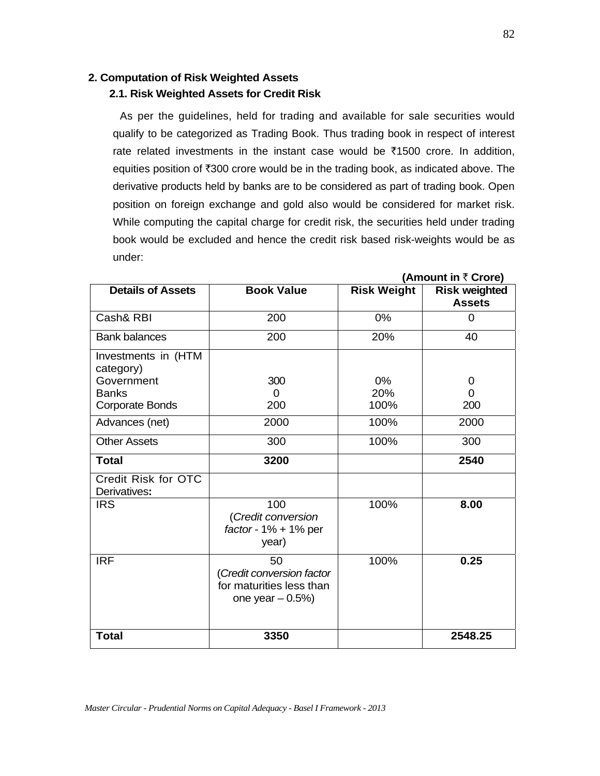#### **2. Computation of Risk Weighted Assets**

## **2.1. Risk Weighted Assets for Credit Risk**

As per the guidelines, held for trading and available for sale securities would qualify to be categorized as Trading Book. Thus trading book in respect of interest rate related investments in the instant case would be  $\bar{\tau}$ 1500 crore. In addition, equities position of  $\overline{300}$  crore would be in the trading book, as indicated above. The derivative products held by banks are to be considered as part of trading book. Open position on foreign exchange and gold also would be considered for market risk. While computing the capital charge for credit risk, the securities held under trading book would be excluded and hence the credit risk based risk-weights would be as under:

| <b>Details of Assets</b>            | <b>Book Value</b>                                                               | <b>Risk Weight</b> | <b>Risk weighted</b><br><b>Assets</b> |
|-------------------------------------|---------------------------------------------------------------------------------|--------------------|---------------------------------------|
| Cash& RBI                           | 200                                                                             | 0%                 | <sup>0</sup>                          |
| <b>Bank balances</b>                | 200                                                                             | 20%                | 40                                    |
| Investments in (HTM<br>category)    |                                                                                 |                    |                                       |
| Government                          | 300                                                                             | $0\%$              | 0                                     |
| <b>Banks</b>                        | $\Omega$                                                                        | 20%                | 0                                     |
| Corporate Bonds                     | 200                                                                             | 100%               | 200                                   |
| Advances (net)                      | 2000                                                                            | 100%               | 2000                                  |
| <b>Other Assets</b>                 | 300                                                                             | 100%               | 300                                   |
| <b>Total</b>                        | 3200                                                                            |                    | 2540                                  |
| Credit Risk for OTC<br>Derivatives: |                                                                                 |                    |                                       |
| <b>IRS</b>                          | 100<br>(Credit conversion<br>factor - $1\%$ + $1\%$ per<br>year)                | 100%               | 8.00                                  |
| <b>IRF</b>                          | 50<br>(Credit conversion factor<br>for maturities less than<br>one year $-0.5%$ | 100%               | 0.25                                  |
| <b>Total</b>                        | 3350                                                                            |                    | 2548.25                               |

**(Amount in** ` **Crore)**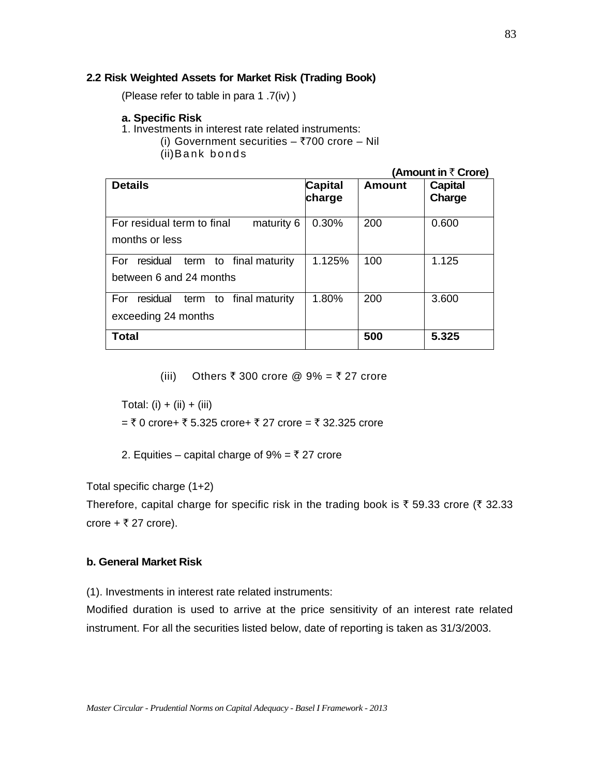#### **2.2 Risk Weighted Assets for Market Risk (Trading Book)**

(Please refer to table in para 1 .7(iv) )

#### **a. Specific Risk**

- 1. Investments in interest rate related instruments:
	- (i) Government securities  $-$  ₹700 crore  $-$  Nil
		- (ii) Bank bonds

**(Amount in ₹ Crore)** 

| <b>Details</b>                               | Capital<br>charge | <b>Amount</b> | <b>Capital</b><br>Charge |
|----------------------------------------------|-------------------|---------------|--------------------------|
| For residual term to final<br>maturity 6     | 0.30%             | 200           | 0.600                    |
| months or less                               |                   |               |                          |
| residual<br>term to final maturity<br>For    | 1.125%            | 100           | 1.125                    |
| between 6 and 24 months                      |                   |               |                          |
| residual<br>final maturity<br>For<br>term to | 1.80%             | 200           | 3.600                    |
| exceeding 24 months                          |                   |               |                          |
| Total                                        |                   | 500           | 5.325                    |

(iii) Others ₹ 300 crore @ 9% = ₹ 27 crore

Total: (i) + (ii) + (iii)

 $=$  ₹ 0 crore+ ₹ 5.325 crore+ ₹ 27 crore = ₹ 32.325 crore

2. Equities – capital charge of  $9\% = \overline{5}$  27 crore

Total specific charge (1+2)

Therefore, capital charge for specific risk in the trading book is  $\bar{\tau}$  59.33 crore ( $\bar{\tau}$  32.33 crore +  $\bar{\tau}$  27 crore).

#### **b. General Market Risk**

(1). Investments in interest rate related instruments:

Modified duration is used to arrive at the price sensitivity of an interest rate related instrument. For all the securities listed below, date of reporting is taken as 31/3/2003.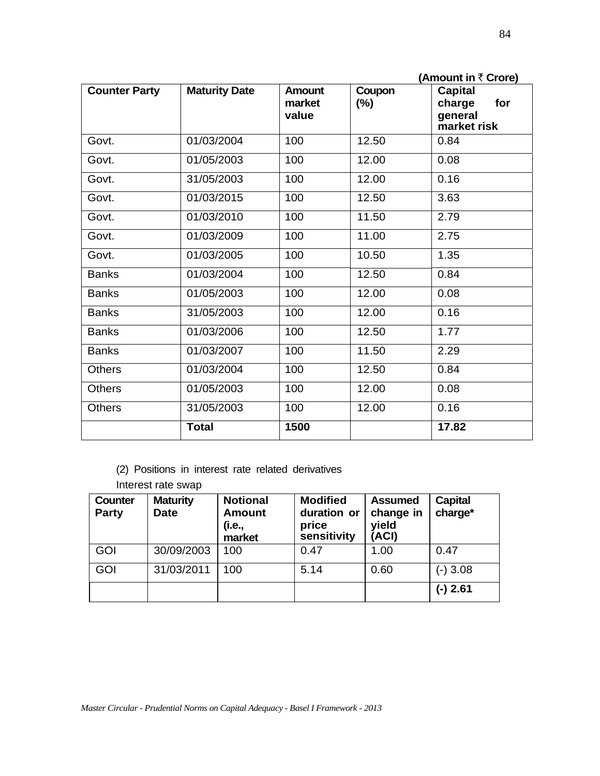|                      |                      |                                  |                  | (Amount in $\bar{\tau}$ Crore)                            |
|----------------------|----------------------|----------------------------------|------------------|-----------------------------------------------------------|
| <b>Counter Party</b> | <b>Maturity Date</b> | <b>Amount</b><br>market<br>value | Coupon<br>$(\%)$ | <b>Capital</b><br>charge<br>for<br>general<br>market risk |
| Govt.                | 01/03/2004           | 100                              | 12.50            | 0.84                                                      |
| Govt.                | 01/05/2003           | 100                              | 12.00            | 0.08                                                      |
| Govt.                | 31/05/2003           | 100                              | 12.00            | 0.16                                                      |
| Govt.                | 01/03/2015           | 100                              | 12.50            | 3.63                                                      |
| Govt.                | 01/03/2010           | 100                              | 11.50            | 2.79                                                      |
| Govt.                | 01/03/2009           | 100                              | 11.00            | 2.75                                                      |
| Govt.                | 01/03/2005           | 100                              | 10.50            | 1.35                                                      |
| <b>Banks</b>         | 01/03/2004           | 100                              | 12.50            | 0.84                                                      |
| <b>Banks</b>         | 01/05/2003           | 100                              | 12.00            | 0.08                                                      |
| <b>Banks</b>         | 31/05/2003           | 100                              | 12.00            | 0.16                                                      |
| <b>Banks</b>         | 01/03/2006           | 100                              | 12.50            | 1.77                                                      |
| <b>Banks</b>         | 01/03/2007           | 100                              | 11.50            | 2.29                                                      |
| <b>Others</b>        | 01/03/2004           | 100                              | 12.50            | 0.84                                                      |
| <b>Others</b>        | 01/05/2003           | 100                              | 12.00            | 0.08                                                      |
| <b>Others</b>        | 31/05/2003           | 100                              | 12.00            | 0.16                                                      |
|                      | <b>Total</b>         | 1500                             |                  | 17.82                                                     |

- (2) Positions in interest rate related derivatives
- Interest rate swap

| <b>Counter</b><br><b>Party</b> | <b>Maturity</b><br><b>Date</b> | <b>Notional</b><br><b>Amount</b><br>(i.e.,<br>market | <b>Modified</b><br>duration or<br>price<br>sensitivity | <b>Assumed</b><br>change in<br>yield<br>(ACI) | Capital<br>charge* |
|--------------------------------|--------------------------------|------------------------------------------------------|--------------------------------------------------------|-----------------------------------------------|--------------------|
| <b>GOI</b>                     | 30/09/2003                     | 100                                                  | 0.47                                                   | 1.00                                          | 0.47               |
| <b>GOI</b>                     | 31/03/2011                     | 100                                                  | 5.14                                                   | 0.60                                          | $(-)3.08$          |
|                                |                                |                                                      |                                                        |                                               | (-) 2.61           |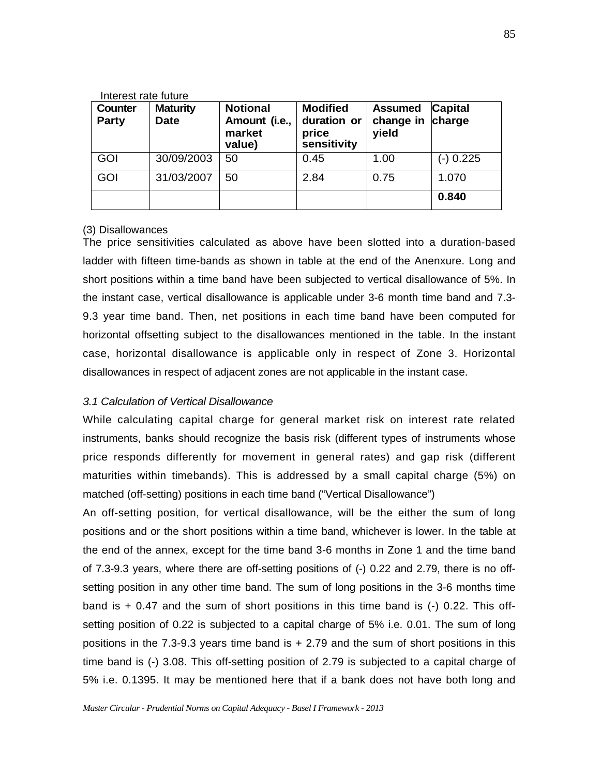| Interest rate future           |                                |                                                      |                                                        |                                      |                          |  |
|--------------------------------|--------------------------------|------------------------------------------------------|--------------------------------------------------------|--------------------------------------|--------------------------|--|
| <b>Counter</b><br><b>Party</b> | <b>Maturity</b><br><b>Date</b> | <b>Notional</b><br>Amount (i.e.,<br>market<br>value) | <b>Modified</b><br>duration or<br>price<br>sensitivity | <b>Assumed</b><br>change in<br>yield | <b>Capital</b><br>charge |  |
| <b>GOI</b>                     | 30/09/2003                     | 50                                                   | 0.45                                                   | 1.00                                 | (-) 0.225                |  |
| <b>GOI</b>                     | 31/03/2007                     | 50                                                   | 2.84                                                   | 0.75                                 | 1.070                    |  |
|                                |                                |                                                      |                                                        |                                      | 0.840                    |  |

#### (3) Disallowances

The price sensitivities calculated as above have been slotted into a duration-based ladder with fifteen time-bands as shown in table at the end of the Anenxure. Long and short positions within a time band have been subjected to vertical disallowance of 5%. In the instant case, vertical disallowance is applicable under 3-6 month time band and 7.3- 9.3 year time band. Then, net positions in each time band have been computed for horizontal offsetting subject to the disallowances mentioned in the table. In the instant case, horizontal disallowance is applicable only in respect of Zone 3. Horizontal disallowances in respect of adjacent zones are not applicable in the instant case.

#### *3.1 Calculation of Vertical Disallowance*

While calculating capital charge for general market risk on interest rate related instruments, banks should recognize the basis risk (different types of instruments whose price responds differently for movement in general rates) and gap risk (different maturities within timebands). This is addressed by a small capital charge (5%) on matched (off-setting) positions in each time band ("Vertical Disallowance")

An off-setting position, for vertical disallowance, will be the either the sum of long positions and or the short positions within a time band, whichever is lower. In the table at the end of the annex, except for the time band 3-6 months in Zone 1 and the time band of 7.3-9.3 years, where there are off-setting positions of (-) 0.22 and 2.79, there is no offsetting position in any other time band. The sum of long positions in the 3-6 months time band is  $+$  0.47 and the sum of short positions in this time band is  $(-)$  0.22. This offsetting position of 0.22 is subjected to a capital charge of 5% i.e. 0.01. The sum of long positions in the 7.3-9.3 years time band is + 2.79 and the sum of short positions in this time band is (-) 3.08. This off-setting position of 2.79 is subjected to a capital charge of 5% i.e. 0.1395. It may be mentioned here that if a bank does not have both long and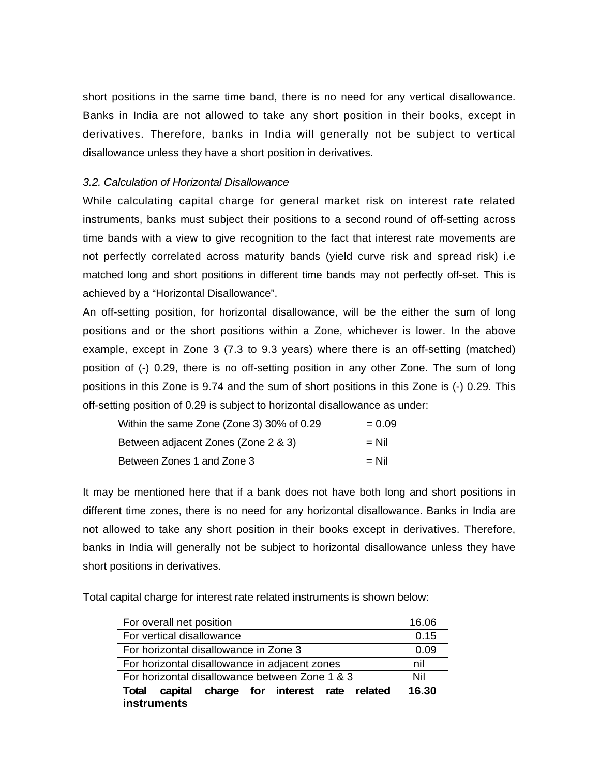short positions in the same time band, there is no need for any vertical disallowance. Banks in India are not allowed to take any short position in their books, except in derivatives. Therefore, banks in India will generally not be subject to vertical disallowance unless they have a short position in derivatives.

#### *3.2. Calculation of Horizontal Disallowance*

While calculating capital charge for general market risk on interest rate related instruments, banks must subject their positions to a second round of off-setting across time bands with a view to give recognition to the fact that interest rate movements are not perfectly correlated across maturity bands (yield curve risk and spread risk) i.e matched long and short positions in different time bands may not perfectly off-set. This is achieved by a "Horizontal Disallowance".

An off-setting position, for horizontal disallowance, will be the either the sum of long positions and or the short positions within a Zone, whichever is lower. In the above example, except in Zone 3 (7.3 to 9.3 years) where there is an off-setting (matched) position of (-) 0.29, there is no off-setting position in any other Zone. The sum of long positions in this Zone is 9.74 and the sum of short positions in this Zone is (-) 0.29. This off-setting position of 0.29 is subject to horizontal disallowance as under:

| Within the same Zone (Zone 3) 30% of 0.29 | $= 0.09$ |
|-------------------------------------------|----------|
| Between adjacent Zones (Zone 2 & 3)       | $=$ Nil  |
| Between Zones 1 and Zone 3                | $=$ Nil  |

It may be mentioned here that if a bank does not have both long and short positions in different time zones, there is no need for any horizontal disallowance. Banks in India are not allowed to take any short position in their books except in derivatives. Therefore, banks in India will generally not be subject to horizontal disallowance unless they have short positions in derivatives.

Total capital charge for interest rate related instruments is shown below:

| For overall net position                       | 16.06 |
|------------------------------------------------|-------|
| For vertical disallowance                      | 0.15  |
| For horizontal disallowance in Zone 3          | 0.09  |
| For horizontal disallowance in adjacent zones  | nil   |
| For horizontal disallowance between Zone 1 & 3 | Nil   |
| Total capital charge for interest rate related | 16.30 |
| instruments                                    |       |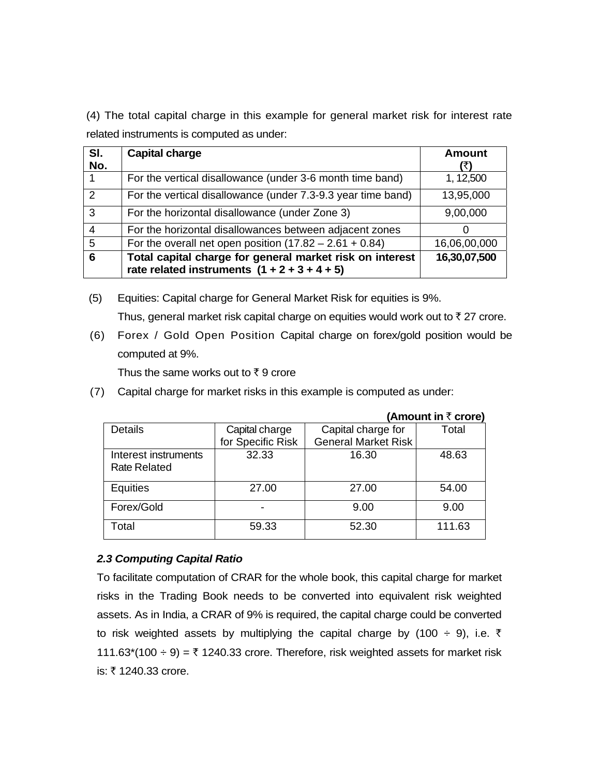(4) The total capital charge in this example for general market risk for interest rate related instruments is computed as under:

| SI.<br>No.    | <b>Capital charge</b>                                                                                      | <b>Amount</b> |
|---------------|------------------------------------------------------------------------------------------------------------|---------------|
|               | For the vertical disallowance (under 3-6 month time band)                                                  | 1, 12,500     |
| $\mathcal{P}$ | For the vertical disallowance (under 7.3-9.3 year time band)                                               | 13,95,000     |
| 3             | For the horizontal disallowance (under Zone 3)                                                             | 9,00,000      |
|               | For the horizontal disallowances between adjacent zones                                                    |               |
| 5             | For the overall net open position $(17.82 - 2.61 + 0.84)$                                                  | 16,06,00,000  |
| 6             | Total capital charge for general market risk on interest<br>rate related instruments $(1 + 2 + 3 + 4 + 5)$ | 16,30,07,500  |

(5) Equities: Capital charge for General Market Risk for equities is 9%.

Thus, general market risk capital charge on equities would work out to  $\bar{\tau}$  27 crore.

(6) Forex / Gold Open Position Capital charge on forex/gold position would be computed at 9%.

Thus the same works out to  $\bar{z}$  9 crore

(7) Capital charge for market risks in this example is computed as under:

| (Amount in $\bar{\tau}$ crore)              |                   |                            |        |  |  |  |  |  |  |  |  |
|---------------------------------------------|-------------------|----------------------------|--------|--|--|--|--|--|--|--|--|
| Details                                     | Capital charge    | Capital charge for         | Total  |  |  |  |  |  |  |  |  |
|                                             | for Specific Risk | <b>General Market Risk</b> |        |  |  |  |  |  |  |  |  |
| Interest instruments<br><b>Rate Related</b> | 32.33             | 16.30                      | 48.63  |  |  |  |  |  |  |  |  |
| <b>Equities</b>                             | 27.00             | 27.00                      | 54.00  |  |  |  |  |  |  |  |  |
| Forex/Gold                                  |                   | 9.00                       | 9.00   |  |  |  |  |  |  |  |  |
| Total                                       | 59.33             | 52.30                      | 111.63 |  |  |  |  |  |  |  |  |

#### *2.3 Computing Capital Ratio*

To facilitate computation of CRAR for the whole book, this capital charge for market risks in the Trading Book needs to be converted into equivalent risk weighted assets. As in India, a CRAR of 9% is required, the capital charge could be converted to risk weighted assets by multiplying the capital charge by (100  $\div$  9), i.e.  $\bar{\tau}$ 111.63 $*(100 \div 9) =$  ₹ 1240.33 crore. Therefore, risk weighted assets for market risk is: ₹1240.33 crore.